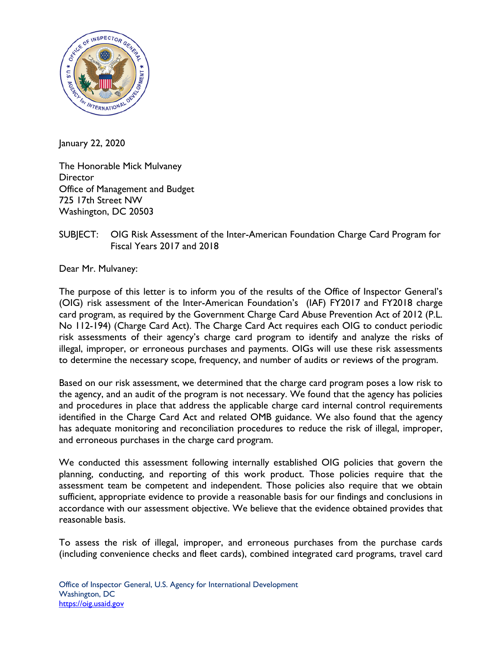

January 22, 2020

The Honorable Mick Mulvaney **Director** Office of Management and Budget 725 17th Street NW Washington, DC 20503

## SUBJECT: OIG Risk Assessment of the Inter-American Foundation Charge Card Program for Fiscal Years 2017 and 2018

Dear Mr. Mulvaney:

The purpose of this letter is to inform you of the results of the Office of Inspector General's (OIG) risk assessment of the Inter-American Foundation's (IAF) FY2017 and FY2018 charge card program, as required by the Government Charge Card Abuse Prevention Act of 2012 (P.L. No 112-194) (Charge Card Act). The Charge Card Act requires each OIG to conduct periodic risk assessments of their agency's charge card program to identify and analyze the risks of illegal, improper, or erroneous purchases and payments. OIGs will use these risk assessments to determine the necessary scope, frequency, and number of audits or reviews of the program.

Based on our risk assessment, we determined that the charge card program poses a low risk to the agency, and an audit of the program is not necessary. We found that the agency has policies and procedures in place that address the applicable charge card internal control requirements identified in the Charge Card Act and related OMB guidance. We also found that the agency has adequate monitoring and reconciliation procedures to reduce the risk of illegal, improper, and erroneous purchases in the charge card program.

We conducted this assessment following internally established OIG policies that govern the planning, conducting, and reporting of this work product. Those policies require that the assessment team be competent and independent. Those policies also require that we obtain sufficient, appropriate evidence to provide a reasonable basis for our findings and conclusions in accordance with our assessment objective. We believe that the evidence obtained provides that reasonable basis.

To assess the risk of illegal, improper, and erroneous purchases from the purchase cards (including convenience checks and fleet cards), combined integrated card programs, travel card